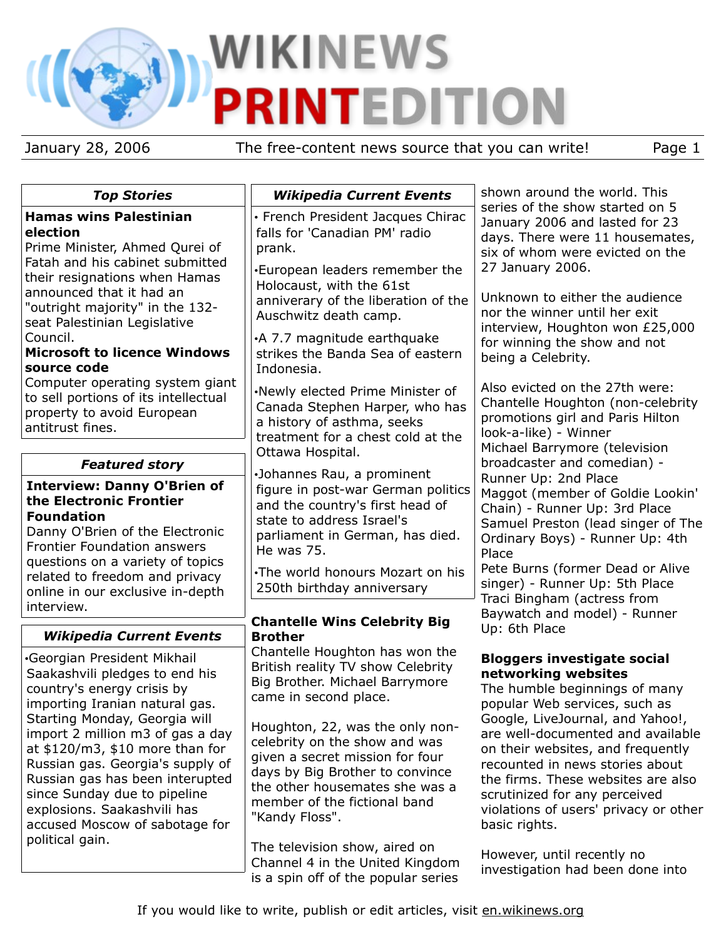# WIKINEWS Р

January 28, 2006 The free-content news source that you can write! Page 1

| <b>Top Stories</b>                                                                                                                                                                                                                                                                                                                                                                                                                        | <b>Wikipedia Current Events</b>                                                                                                                                                                                                                                                                                                                              | shown around the world. This                                                                                                                                                                                                                                                                                                                                                                                  |
|-------------------------------------------------------------------------------------------------------------------------------------------------------------------------------------------------------------------------------------------------------------------------------------------------------------------------------------------------------------------------------------------------------------------------------------------|--------------------------------------------------------------------------------------------------------------------------------------------------------------------------------------------------------------------------------------------------------------------------------------------------------------------------------------------------------------|---------------------------------------------------------------------------------------------------------------------------------------------------------------------------------------------------------------------------------------------------------------------------------------------------------------------------------------------------------------------------------------------------------------|
| <b>Hamas wins Palestinian</b><br>election<br>Prime Minister, Ahmed Qurei of<br>Fatah and his cabinet submitted<br>their resignations when Hamas<br>announced that it had an<br>"outright majority" in the 132-<br>seat Palestinian Legislative<br>Council.<br><b>Microsoft to licence Windows</b><br>source code                                                                                                                          | • French President Jacques Chirac<br>falls for 'Canadian PM' radio<br>prank.<br><b>European leaders remember the</b>                                                                                                                                                                                                                                         | series of the show started on 5<br>January 2006 and lasted for 23<br>days. There were 11 housemates,<br>six of whom were evicted on the<br>27 January 2006.<br>Unknown to either the audience<br>nor the winner until her exit<br>interview, Houghton won £25,000<br>for winning the show and not<br>being a Celebrity.                                                                                       |
|                                                                                                                                                                                                                                                                                                                                                                                                                                           | Holocaust, with the 61st<br>anniverary of the liberation of the<br>Auschwitz death camp.                                                                                                                                                                                                                                                                     |                                                                                                                                                                                                                                                                                                                                                                                                               |
|                                                                                                                                                                                                                                                                                                                                                                                                                                           | •A 7.7 magnitude earthquake<br>strikes the Banda Sea of eastern<br>Indonesia.                                                                                                                                                                                                                                                                                |                                                                                                                                                                                                                                                                                                                                                                                                               |
| Computer operating system giant<br>to sell portions of its intellectual<br>property to avoid European<br>antitrust fines.                                                                                                                                                                                                                                                                                                                 | .Newly elected Prime Minister of<br>Canada Stephen Harper, who has<br>a history of asthma, seeks<br>treatment for a chest cold at the                                                                                                                                                                                                                        | Also evicted on the 27th were:<br>Chantelle Houghton (non-celebrity<br>promotions girl and Paris Hilton<br>look-a-like) - Winner<br>Michael Barrymore (television                                                                                                                                                                                                                                             |
| <b>Featured story</b>                                                                                                                                                                                                                                                                                                                                                                                                                     | Ottawa Hospital.                                                                                                                                                                                                                                                                                                                                             | broadcaster and comedian) -                                                                                                                                                                                                                                                                                                                                                                                   |
| <b>Interview: Danny O'Brien of</b><br>the Electronic Frontier<br><b>Foundation</b><br>Danny O'Brien of the Electronic<br><b>Frontier Foundation answers</b><br>questions on a variety of topics<br>related to freedom and privacy<br>online in our exclusive in-depth<br>interview.                                                                                                                                                       | ·Johannes Rau, a prominent<br>figure in post-war German politics<br>and the country's first head of<br>state to address Israel's<br>parliament in German, has died.<br>He was 75.<br>•The world honours Mozart on his<br>250th birthday anniversary                                                                                                          | Runner Up: 2nd Place<br>Maggot (member of Goldie Lookin'<br>Chain) - Runner Up: 3rd Place<br>Samuel Preston (lead singer of The<br>Ordinary Boys) - Runner Up: 4th<br>Place<br>Pete Burns (former Dead or Alive<br>singer) - Runner Up: 5th Place<br>Traci Bingham (actress from<br>Baywatch and model) - Runner                                                                                              |
| <b>Wikipedia Current Events</b>                                                                                                                                                                                                                                                                                                                                                                                                           | <b>Chantelle Wins Celebrity Big</b><br><b>Brother</b>                                                                                                                                                                                                                                                                                                        | Up: 6th Place                                                                                                                                                                                                                                                                                                                                                                                                 |
| <b>Georgian President Mikhail</b><br>Saakashvili pledges to end his<br>country's energy crisis by<br>importing Iranian natural gas.<br>Starting Monday, Georgia will<br>import 2 million m3 of gas a day<br>at $$120/m3$ , $$10$ more than for<br>Russian gas. Georgia's supply of<br>Russian gas has been interupted<br>since Sunday due to pipeline<br>explosions. Saakashvili has<br>accused Moscow of sabotage for<br>political gain. | Chantelle Houghton has won the<br>British reality TV show Celebrity<br>Big Brother. Michael Barrymore<br>came in second place.<br>Houghton, 22, was the only non-<br>celebrity on the show and was<br>given a secret mission for four<br>days by Big Brother to convince<br>the other housemates she was a<br>member of the fictional band<br>"Kandy Floss". | <b>Bloggers investigate social</b><br>networking websites<br>The humble beginnings of many<br>popular Web services, such as<br>Google, LiveJournal, and Yahoo!,<br>are well-documented and available<br>on their websites, and frequently<br>recounted in news stories about<br>the firms. These websites are also<br>scrutinized for any perceived<br>violations of users' privacy or other<br>basic rights. |
|                                                                                                                                                                                                                                                                                                                                                                                                                                           | The television show, aired on<br>Channel 4 in the United Kingdom                                                                                                                                                                                                                                                                                             | However, until recently no<br>roctiontion had hean done into                                                                                                                                                                                                                                                                                                                                                  |

investigation had been done into

is a spin off of the popular series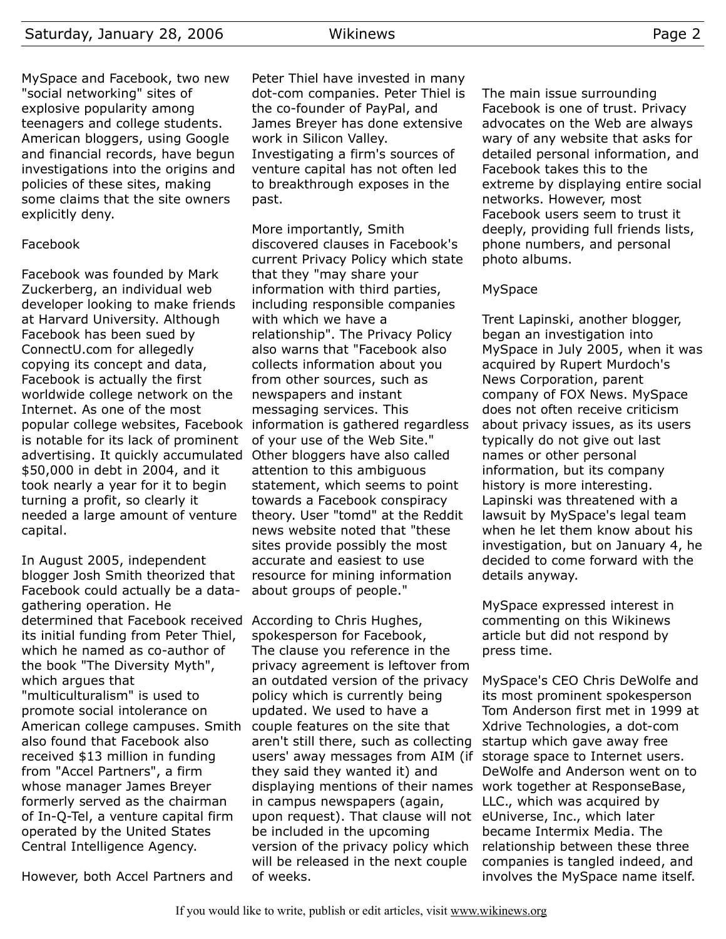MySpace and Facebook, two new "social networking" sites of explosive popularity among teenagers and college students. American bloggers, using Google and financial records, have begun investigations into the origins and policies of these sites, making some claims that the site owners explicitly deny.

# Facebook

Facebook was founded by Mark Zuckerberg, an individual web developer looking to make friends at Harvard University. Although Facebook has been sued by ConnectU.com for allegedly copying its concept and data, Facebook is actually the first worldwide college network on the Internet. As one of the most popular college websites, Facebook information is gathered regardless is notable for its lack of prominent advertising. It quickly accumulated Other bloggers have also called \$50,000 in debt in 2004, and it took nearly a year for it to begin turning a profit, so clearly it needed a large amount of venture capital.

In August 2005, independent blogger Josh Smith theorized that Facebook could actually be a datagathering operation. He determined that Facebook received According to Chris Hughes, its initial funding from Peter Thiel, which he named as co-author of the book "The Diversity Myth", which argues that "multiculturalism" is used to promote social intolerance on American college campuses. Smith also found that Facebook also received \$13 million in funding from "Accel Partners", a firm whose manager James Breyer formerly served as the chairman of In-Q-Tel, a venture capital firm operated by the United States Central Intelligence Agency.

However, both Accel Partners and

Peter Thiel have invested in many dot-com companies. Peter Thiel is the co-founder of PayPal, and James Breyer has done extensive work in Silicon Valley. Investigating a firm's sources of venture capital has not often led to breakthrough exposes in the past.

More importantly, Smith discovered clauses in Facebook's current Privacy Policy which state that they "may share your information with third parties, including responsible companies with which we have a relationship". The Privacy Policy also warns that "Facebook also collects information about you from other sources, such as newspapers and instant messaging services. This of your use of the Web Site." attention to this ambiguous statement, which seems to point towards a Facebook conspiracy theory. User "tomd" at the Reddit news website noted that "these sites provide possibly the most accurate and easiest to use resource for mining information about groups of people."

spokesperson for Facebook, The clause you reference in the privacy agreement is leftover from an outdated version of the privacy policy which is currently being updated. We used to have a couple features on the site that aren't still there, such as collecting users' away messages from AIM (if storage space to Internet users. they said they wanted it) and displaying mentions of their names in campus newspapers (again, upon request). That clause will not eUniverse, Inc., which later be included in the upcoming version of the privacy policy which will be released in the next couple of weeks.

The main issue surrounding Facebook is one of trust. Privacy advocates on the Web are always wary of any website that asks for detailed personal information, and Facebook takes this to the extreme by displaying entire social networks. However, most Facebook users seem to trust it deeply, providing full friends lists, phone numbers, and personal photo albums.

# MySpace

Trent Lapinski, another blogger, began an investigation into MySpace in July 2005, when it was acquired by Rupert Murdoch's News Corporation, parent company of FOX News. MySpace does not often receive criticism about privacy issues, as its users typically do not give out last names or other personal information, but its company history is more interesting. Lapinski was threatened with a lawsuit by MySpace's legal team when he let them know about his investigation, but on January 4, he decided to come forward with the details anyway.

MySpace expressed interest in commenting on this Wikinews article but did not respond by press time.

MySpace's CEO Chris DeWolfe and its most prominent spokesperson Tom Anderson first met in 1999 at Xdrive Technologies, a dot-com startup which gave away free DeWolfe and Anderson went on to work together at ResponseBase, LLC., which was acquired by became Intermix Media. The relationship between these three companies is tangled indeed, and involves the MySpace name itself.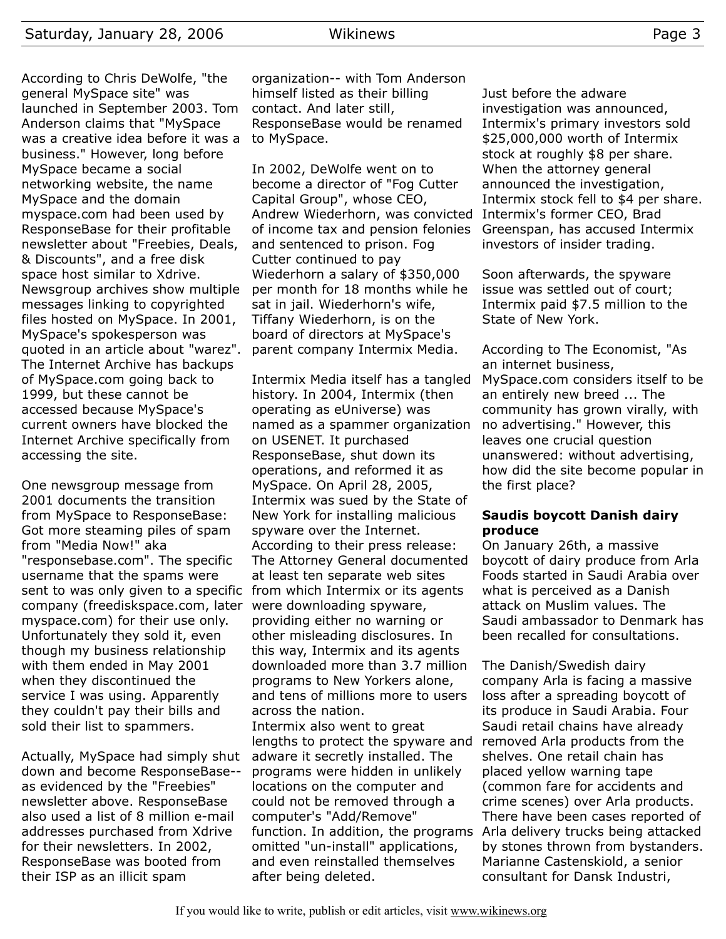According to Chris DeWolfe, "the general MySpace site" was launched in September 2003. Tom Anderson claims that "MySpace was a creative idea before it was a business." However, long before MySpace became a social networking website, the name MySpace and the domain myspace.com had been used by ResponseBase for their profitable newsletter about "Freebies, Deals, & Discounts", and a free disk space host similar to Xdrive. Newsgroup archives show multiple messages linking to copyrighted files hosted on MySpace. In 2001, MySpace's spokesperson was quoted in an article about "warez". The Internet Archive has backups of MySpace.com going back to 1999, but these cannot be accessed because MySpace's current owners have blocked the Internet Archive specifically from accessing the site.

One newsgroup message from 2001 documents the transition from MySpace to ResponseBase: Got more steaming piles of spam from "Media Now!" aka "responsebase.com". The specific username that the spams were sent to was only given to a specific from which Intermix or its agents company (freediskspace.com, later were downloading spyware, myspace.com) for their use only. Unfortunately they sold it, even though my business relationship with them ended in May 2001 when they discontinued the service I was using. Apparently they couldn't pay their bills and sold their list to spammers.

Actually, MySpace had simply shut down and become ResponseBase- as evidenced by the "Freebies" newsletter above. ResponseBase also used a list of 8 million e-mail addresses purchased from Xdrive for their newsletters. In 2002, ResponseBase was booted from their ISP as an illicit spam

organization-- with Tom Anderson himself listed as their billing contact. And later still, ResponseBase would be renamed to MySpace.

In 2002, DeWolfe went on to become a director of "Fog Cutter Capital Group", whose CEO, Andrew Wiederhorn, was convicted Intermix's former CEO, Brad of income tax and pension felonies and sentenced to prison. Fog Cutter continued to pay Wiederhorn a salary of \$350,000 per month for 18 months while he sat in jail. Wiederhorn's wife, Tiffany Wiederhorn, is on the board of directors at MySpace's parent company Intermix Media.

Intermix Media itself has a tangled history. In 2004, Intermix (then operating as eUniverse) was named as a spammer organization on USENET. It purchased ResponseBase, shut down its operations, and reformed it as MySpace. On April 28, 2005, Intermix was sued by the State of New York for installing malicious spyware over the Internet. According to their press release: The Attorney General documented at least ten separate web sites providing either no warning or other misleading disclosures. In this way, Intermix and its agents downloaded more than 3.7 million programs to New Yorkers alone, and tens of millions more to users across the nation. Intermix also went to great lengths to protect the spyware and adware it secretly installed. The programs were hidden in unlikely locations on the computer and could not be removed through a computer's "Add/Remove" function. In addition, the programs omitted "un-install" applications, and even reinstalled themselves after being deleted.

Just before the adware investigation was announced, Intermix's primary investors sold \$25,000,000 worth of Intermix stock at roughly \$8 per share. When the attorney general announced the investigation, Intermix stock fell to \$4 per share. Greenspan, has accused Intermix investors of insider trading.

Soon afterwards, the spyware issue was settled out of court; Intermix paid \$7.5 million to the State of New York.

According to The Economist, "As an internet business, MySpace.com considers itself to be an entirely new breed ... The community has grown virally, with no advertising." However, this leaves one crucial question unanswered: without advertising, how did the site become popular in the first place?

#### **Saudis boycott Danish dairy produce**

On January 26th, a massive boycott of dairy produce from Arla Foods started in Saudi Arabia over what is perceived as a Danish attack on Muslim values. The Saudi ambassador to Denmark has been recalled for consultations.

The Danish/Swedish dairy company Arla is facing a massive loss after a spreading boycott of its produce in Saudi Arabia. Four Saudi retail chains have already removed Arla products from the shelves. One retail chain has placed yellow warning tape (common fare for accidents and crime scenes) over Arla products. There have been cases reported of Arla delivery trucks being attacked by stones thrown from bystanders. Marianne Castenskiold, a senior consultant for Dansk Industri,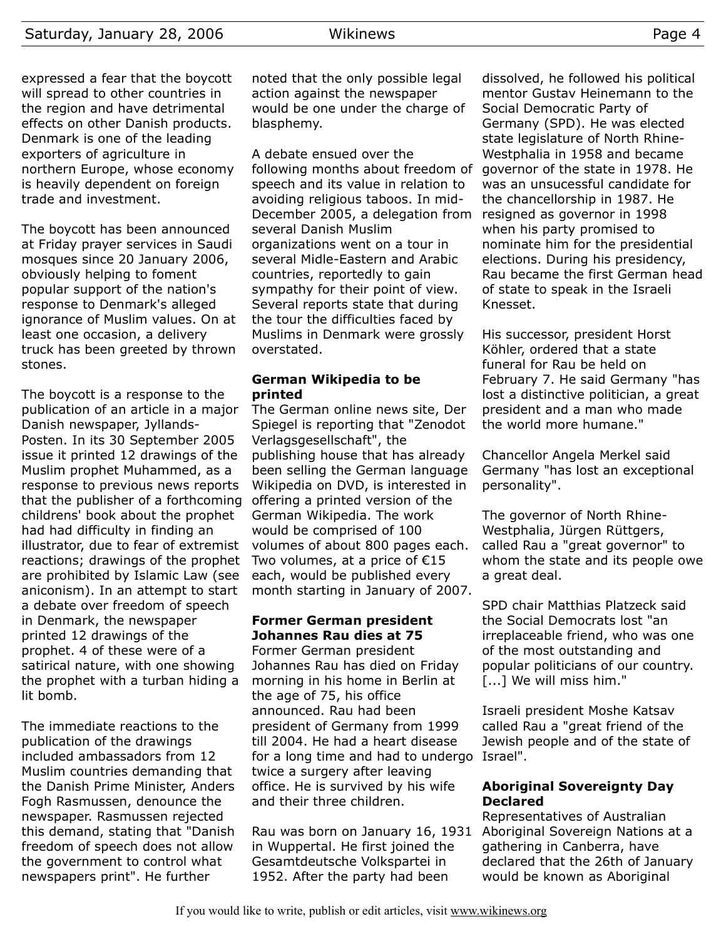expressed a fear that the boycott will spread to other countries in the region and have detrimental effects on other Danish products. Denmark is one of the leading exporters of agriculture in northern Europe, whose economy is heavily dependent on foreign trade and investment.

The boycott has been announced at Friday prayer services in Saudi mosques since 20 January 2006, obviously helping to foment popular support of the nation's response to Denmark's alleged ignorance of Muslim values. On at least one occasion, a delivery truck has been greeted by thrown stones.

The boycott is a response to the publication of an article in a major Danish newspaper, Jyllands-Posten. In its 30 September 2005 issue it printed 12 drawings of the Muslim prophet Muhammed, as a response to previous news reports that the publisher of a forthcoming childrens' book about the prophet had had difficulty in finding an illustrator, due to fear of extremist reactions; drawings of the prophet are prohibited by Islamic Law (see aniconism). In an attempt to start a debate over freedom of speech in Denmark, the newspaper printed 12 drawings of the prophet. 4 of these were of a satirical nature, with one showing the prophet with a turban hiding a lit bomb.

The immediate reactions to the publication of the drawings included ambassadors from 12 Muslim countries demanding that the Danish Prime Minister, Anders Fogh Rasmussen, denounce the newspaper. Rasmussen rejected this demand, stating that "Danish freedom of speech does not allow the government to control what newspapers print". He further

noted that the only possible legal action against the newspaper would be one under the charge of blasphemy.

A debate ensued over the following months about freedom of speech and its value in relation to avoiding religious taboos. In mid-December 2005, a delegation from several Danish Muslim organizations went on a tour in several Midle-Eastern and Arabic countries, reportedly to gain sympathy for their point of view. Several reports state that during the tour the difficulties faced by Muslims in Denmark were grossly overstated.

# **German Wikipedia to be printed**

The German online news site, Der Spiegel is reporting that "Zenodot Verlagsgesellschaft", the publishing house that has already been selling the German language Wikipedia on DVD, is interested in offering a printed version of the German Wikipedia. The work would be comprised of 100 volumes of about 800 pages each. Two volumes, at a price of  $E$ 15 each, would be published every month starting in January of 2007.

# **Former German president Johannes Rau dies at 75**

Former German president Johannes Rau has died on Friday morning in his home in Berlin at the age of 75, his office announced. Rau had been president of Germany from 1999 till 2004. He had a heart disease for a long time and had to undergo Israel". twice a surgery after leaving office. He is survived by his wife and their three children.

Rau was born on January 16, 1931 in Wuppertal. He first joined the Gesamtdeutsche Volkspartei in 1952. After the party had been

dissolved, he followed his political mentor Gustav Heinemann to the Social Democratic Party of Germany (SPD). He was elected state legislature of North Rhine-Westphalia in 1958 and became governor of the state in 1978. He was an unsucessful candidate for the chancellorship in 1987. He resigned as governor in 1998 when his party promised to nominate him for the presidential elections. During his presidency, Rau became the first German head of state to speak in the Israeli Knesset.

His successor, president Horst Köhler, ordered that a state funeral for Rau be held on February 7. He said Germany "has lost a distinctive politician, a great president and a man who made the world more humane."

Chancellor Angela Merkel said Germany "has lost an exceptional personality".

The governor of North Rhine-Westphalia, Jürgen Rüttgers, called Rau a "great governor" to whom the state and its people owe a great deal.

SPD chair Matthias Platzeck said the Social Democrats lost "an irreplaceable friend, who was one of the most outstanding and popular politicians of our country. [...] We will miss him."

Israeli president Moshe Katsav called Rau a "great friend of the Jewish people and of the state of

# **Aboriginal Sovereignty Day Declared**

Representatives of Australian Aboriginal Sovereign Nations at a gathering in Canberra, have declared that the 26th of January would be known as Aboriginal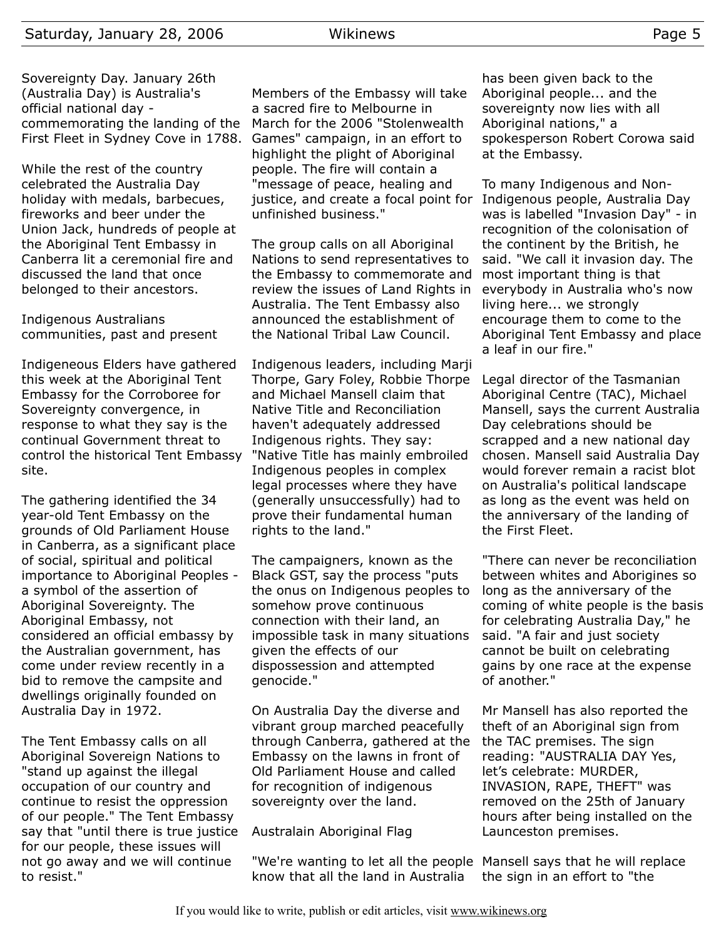Sovereignty Day. January 26th (Australia Day) is Australia's official national day commemorating the landing of the First Fleet in Sydney Cove in 1788.

While the rest of the country celebrated the Australia Day holiday with medals, barbecues, fireworks and beer under the Union Jack, hundreds of people at the Aboriginal Tent Embassy in Canberra lit a ceremonial fire and discussed the land that once belonged to their ancestors.

Indigenous Australians communities, past and present

Indigeneous Elders have gathered this week at the Aboriginal Tent Embassy for the Corroboree for Sovereignty convergence, in response to what they say is the continual Government threat to control the historical Tent Embassy site.

The gathering identified the 34 year-old Tent Embassy on the grounds of Old Parliament House in Canberra, as a significant place of social, spiritual and political importance to Aboriginal Peoples a symbol of the assertion of Aboriginal Sovereignty. The Aboriginal Embassy, not considered an official embassy by the Australian government, has come under review recently in a bid to remove the campsite and dwellings originally founded on Australia Day in 1972.

The Tent Embassy calls on all Aboriginal Sovereign Nations to "stand up against the illegal occupation of our country and continue to resist the oppression of our people." The Tent Embassy say that "until there is true justice for our people, these issues will not go away and we will continue to resist."

Members of the Embassy will take a sacred fire to Melbourne in March for the 2006 "Stolenwealth Games" campaign, in an effort to highlight the plight of Aboriginal people. The fire will contain a "message of peace, healing and justice, and create a focal point for unfinished business."

The group calls on all Aboriginal Nations to send representatives to the Embassy to commemorate and review the issues of Land Rights in Australia. The Tent Embassy also announced the establishment of the National Tribal Law Council.

Indigenous leaders, including Marji Thorpe, Gary Foley, Robbie Thorpe and Michael Mansell claim that Native Title and Reconciliation haven't adequately addressed Indigenous rights. They say: "Native Title has mainly embroiled Indigenous peoples in complex legal processes where they have (generally unsuccessfully) had to prove their fundamental human rights to the land."

The campaigners, known as the Black GST, say the process "puts the onus on Indigenous peoples to somehow prove continuous connection with their land, an impossible task in many situations given the effects of our dispossession and attempted genocide."

On Australia Day the diverse and vibrant group marched peacefully through Canberra, gathered at the Embassy on the lawns in front of Old Parliament House and called for recognition of indigenous sovereignty over the land.

# Australain Aboriginal Flag

"We're wanting to let all the people Mansell says that he will replace know that all the land in Australia

has been given back to the Aboriginal people... and the sovereignty now lies with all Aboriginal nations," a spokesperson Robert Corowa said at the Embassy.

To many Indigenous and Non-Indigenous people, Australia Day was is labelled "Invasion Day" - in recognition of the colonisation of the continent by the British, he said. "We call it invasion day. The most important thing is that everybody in Australia who's now living here... we strongly encourage them to come to the Aboriginal Tent Embassy and place a leaf in our fire."

Legal director of the Tasmanian Aboriginal Centre (TAC), Michael Mansell, says the current Australia Day celebrations should be scrapped and a new national day chosen. Mansell said Australia Day would forever remain a racist blot on Australia's political landscape as long as the event was held on the anniversary of the landing of the First Fleet.

"There can never be reconciliation between whites and Aborigines so long as the anniversary of the coming of white people is the basis for celebrating Australia Day," he said. "A fair and just society cannot be built on celebrating gains by one race at the expense of another."

Mr Mansell has also reported the theft of an Aboriginal sign from the TAC premises. The sign reading: "AUSTRALIA DAY Yes, let's celebrate: MURDER, INVASION, RAPE, THEFT" was removed on the 25th of January hours after being installed on the Launceston premises.

the sign in an effort to "the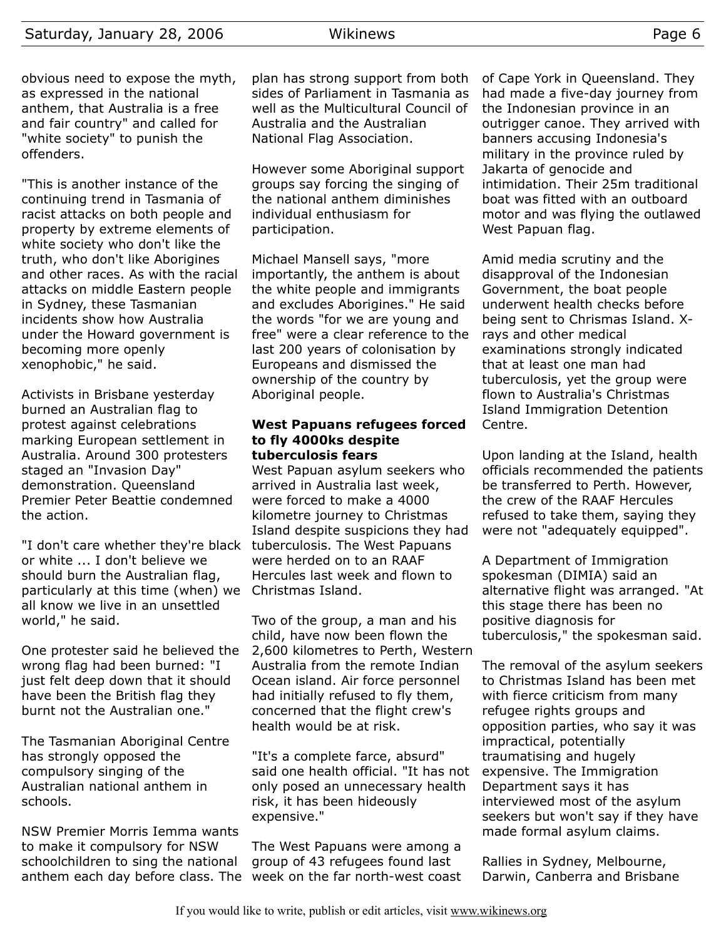obvious need to expose the myth, as expressed in the national anthem, that Australia is a free and fair country" and called for "white society" to punish the offenders.

"This is another instance of the continuing trend in Tasmania of racist attacks on both people and property by extreme elements of white society who don't like the truth, who don't like Aborigines and other races. As with the racial attacks on middle Eastern people in Sydney, these Tasmanian incidents show how Australia under the Howard government is becoming more openly xenophobic," he said.

Activists in Brisbane yesterday burned an Australian flag to protest against celebrations marking European settlement in Australia. Around 300 protesters staged an "Invasion Day" demonstration. Queensland Premier Peter Beattie condemned the action.

"I don't care whether they're black tuberculosis. The West Papuans or white ... I don't believe we should burn the Australian flag, particularly at this time (when) we Christmas Island. all know we live in an unsettled world," he said.

One protester said he believed the wrong flag had been burned: "I just felt deep down that it should have been the British flag they burnt not the Australian one."

The Tasmanian Aboriginal Centre has strongly opposed the compulsory singing of the Australian national anthem in schools.

NSW Premier Morris Iemma wants to make it compulsory for NSW schoolchildren to sing the national anthem each day before class. The week on the far north-west coast

plan has strong support from both sides of Parliament in Tasmania as well as the Multicultural Council of Australia and the Australian National Flag Association.

However some Aboriginal support groups say forcing the singing of the national anthem diminishes individual enthusiasm for participation.

Michael Mansell says, "more importantly, the anthem is about the white people and immigrants and excludes Aborigines." He said the words "for we are young and free" were a clear reference to the last 200 years of colonisation by Europeans and dismissed the ownership of the country by Aboriginal people.

### **West Papuans refugees forced to fly 4000ks despite tuberculosis fears**

West Papuan asylum seekers who arrived in Australia last week, were forced to make a 4000 kilometre journey to Christmas Island despite suspicions they had were herded on to an RAAF Hercules last week and flown to

Two of the group, a man and his child, have now been flown the 2,600 kilometres to Perth, Western Australia from the remote Indian Ocean island. Air force personnel had initially refused to fly them, concerned that the flight crew's health would be at risk.

"It's a complete farce, absurd" said one health official. "It has not only posed an unnecessary health risk, it has been hideously expensive."

The West Papuans were among a group of 43 refugees found last

of Cape York in Queensland. They had made a five-day journey from the Indonesian province in an outrigger canoe. They arrived with banners accusing Indonesia's military in the province ruled by Jakarta of genocide and intimidation. Their 25m traditional boat was fitted with an outboard motor and was flying the outlawed West Papuan flag.

Amid media scrutiny and the disapproval of the Indonesian Government, the boat people underwent health checks before being sent to Chrismas Island. Xrays and other medical examinations strongly indicated that at least one man had tuberculosis, yet the group were flown to Australia's Christmas Island Immigration Detention Centre.

Upon landing at the Island, health officials recommended the patients be transferred to Perth. However, the crew of the RAAF Hercules refused to take them, saying they were not "adequately equipped".

A Department of Immigration spokesman (DIMIA) said an alternative flight was arranged. "At this stage there has been no positive diagnosis for tuberculosis," the spokesman said.

The removal of the asylum seekers to Christmas Island has been met with fierce criticism from many refugee rights groups and opposition parties, who say it was impractical, potentially traumatising and hugely expensive. The Immigration Department says it has interviewed most of the asylum seekers but won't say if they have made formal asylum claims.

Rallies in Sydney, Melbourne, Darwin, Canberra and Brisbane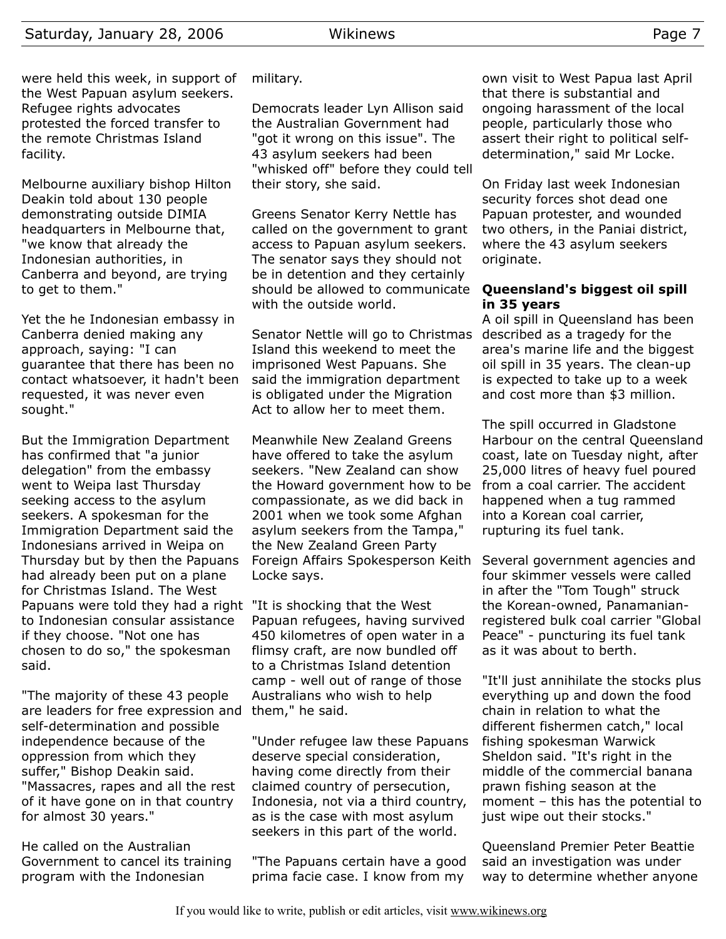were held this week, in support of the West Papuan asylum seekers. Refugee rights advocates protested the forced transfer to the remote Christmas Island facility.

Melbourne auxiliary bishop Hilton Deakin told about 130 people demonstrating outside DIMIA headquarters in Melbourne that, "we know that already the Indonesian authorities, in Canberra and beyond, are trying to get to them."

Yet the he Indonesian embassy in Canberra denied making any approach, saying: "I can guarantee that there has been no contact whatsoever, it hadn't been requested, it was never even sought."

But the Immigration Department has confirmed that "a junior delegation" from the embassy went to Weipa last Thursday seeking access to the asylum seekers. A spokesman for the Immigration Department said the Indonesians arrived in Weipa on Thursday but by then the Papuans had already been put on a plane for Christmas Island. The West Papuans were told they had a right "It is shocking that the West to Indonesian consular assistance if they choose. "Not one has chosen to do so," the spokesman said.

"The majority of these 43 people are leaders for free expression and self-determination and possible independence because of the oppression from which they suffer," Bishop Deakin said. "Massacres, rapes and all the rest of it have gone on in that country for almost 30 years."

He called on the Australian Government to cancel its training program with the Indonesian

# military.

Democrats leader Lyn Allison said the Australian Government had "got it wrong on this issue". The 43 asylum seekers had been "whisked off" before they could tell their story, she said.

Greens Senator Kerry Nettle has called on the government to grant access to Papuan asylum seekers. The senator says they should not be in detention and they certainly should be allowed to communicate with the outside world.

Senator Nettle will go to Christmas Island this weekend to meet the imprisoned West Papuans. She said the immigration department is obligated under the Migration Act to allow her to meet them.

Meanwhile New Zealand Greens have offered to take the asylum seekers. "New Zealand can show the Howard government how to be compassionate, as we did back in 2001 when we took some Afghan asylum seekers from the Tampa," the New Zealand Green Party Foreign Affairs Spokesperson Keith Locke says.

Papuan refugees, having survived 450 kilometres of open water in a flimsy craft, are now bundled off to a Christmas Island detention camp - well out of range of those Australians who wish to help them," he said.

"Under refugee law these Papuans deserve special consideration, having come directly from their claimed country of persecution, Indonesia, not via a third country, as is the case with most asylum seekers in this part of the world.

"The Papuans certain have a good prima facie case. I know from my

own visit to West Papua last April that there is substantial and ongoing harassment of the local people, particularly those who assert their right to political selfdetermination," said Mr Locke.

On Friday last week Indonesian security forces shot dead one Papuan protester, and wounded two others, in the Paniai district, where the 43 asylum seekers originate.

# **Queensland's biggest oil spill in 35 years**

A oil spill in Queensland has been described as a tragedy for the area's marine life and the biggest oil spill in 35 years. The clean-up is expected to take up to a week and cost more than \$3 million.

The spill occurred in Gladstone Harbour on the central Queensland coast, late on Tuesday night, after 25,000 litres of heavy fuel poured from a coal carrier. The accident happened when a tug rammed into a Korean coal carrier, rupturing its fuel tank.

Several government agencies and four skimmer vessels were called in after the "Tom Tough" struck the Korean-owned, Panamanianregistered bulk coal carrier "Global Peace" - puncturing its fuel tank as it was about to berth.

"It'll just annihilate the stocks plus everything up and down the food chain in relation to what the different fishermen catch," local fishing spokesman Warwick Sheldon said. "It's right in the middle of the commercial banana prawn fishing season at the moment – this has the potential to just wipe out their stocks."

Queensland Premier Peter Beattie said an investigation was under way to determine whether anyone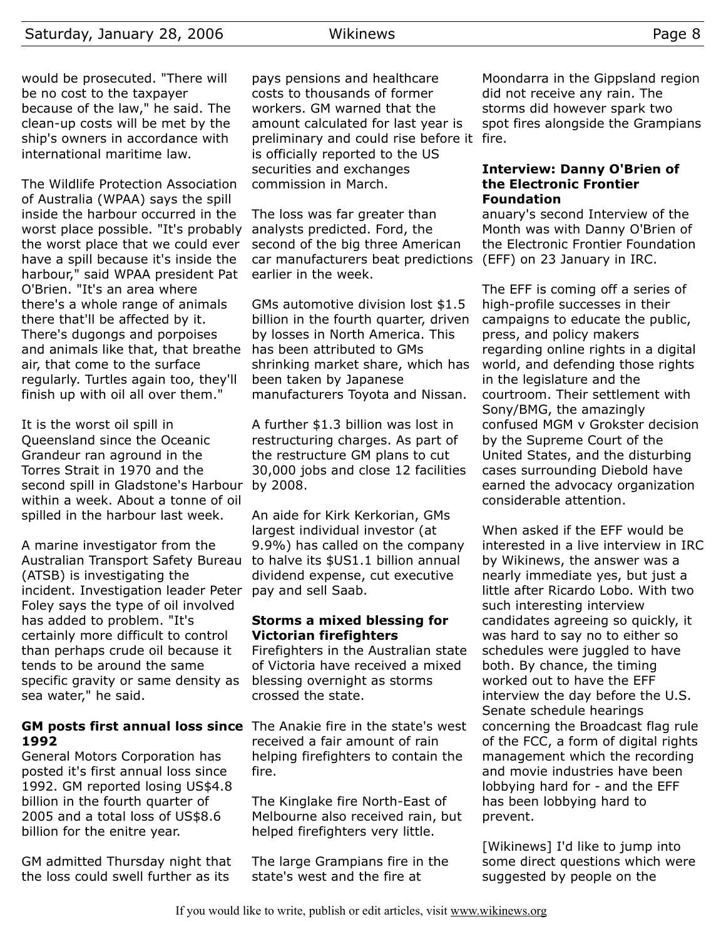would be prosecuted. "There will be no cost to the taxpayer because of the law," he said. The clean-up costs will be met by the ship's owners in accordance with international maritime law.

The Wildlife Protection Association of Australia (WPAA) says the spill inside the harbour occurred in the worst place possible. "It's probably the worst place that we could ever have a spill because it's inside the harbour," said WPAA president Pat O'Brien. "It's an area where there's a whole range of animals there that'll be affected by it. There's dugongs and porpoises and animals like that, that breathe air, that come to the surface regularly. Turtles again too, they'll finish up with oil all over them."

It is the worst oil spill in Queensland since the Oceanic Grandeur ran aground in the Torres Strait in 1970 and the second spill in Gladstone's Harbour by 2008. within a week. About a tonne of oil spilled in the harbour last week.

A marine investigator from the Australian Transport Safety Bureau (ATSB) is investigating the incident. Investigation leader Peter Foley says the type of oil involved has added to problem. "It's certainly more difficult to control than perhaps crude oil because it tends to be around the same specific gravity or same density as sea water," he said.

#### **GM posts first annual loss since** The Anakie fire in the state's west **1992**

General Motors Corporation has posted it's first annual loss since 1992. GM reported losing US\$4.8 billion in the fourth quarter of 2005 and a total loss of US\$8.6 billion for the enitre year.

GM admitted Thursday night that the loss could swell further as its

pays pensions and healthcare costs to thousands of former workers. GM warned that the amount calculated for last year is preliminary and could rise before it fire. is officially reported to the US securities and exchanges commission in March.

The loss was far greater than analysts predicted. Ford, the second of the big three American car manufacturers beat predictions (EFF) on 23 January in IRC. earlier in the week.

GMs automotive division lost \$1.5 billion in the fourth quarter, driven by losses in North America. This has been attributed to GMs shrinking market share, which has been taken by Japanese manufacturers Toyota and Nissan.

A further \$1.3 billion was lost in restructuring charges. As part of the restructure GM plans to cut 30,000 jobs and close 12 facilities

An aide for Kirk Kerkorian, GMs largest individual investor (at 9.9%) has called on the company to halve its \$US1.1 billion annual dividend expense, cut executive pay and sell Saab.

#### **Storms a mixed blessing for Victorian firefighters**

Firefighters in the Australian state of Victoria have received a mixed blessing overnight as storms crossed the state.

received a fair amount of rain helping firefighters to contain the fire.

The Kinglake fire North-East of Melbourne also received rain, but helped firefighters very little.

The large Grampians fire in the state's west and the fire at

Moondarra in the Gippsland region did not receive any rain. The storms did however spark two spot fires alongside the Grampians

#### **Interview: Danny O'Brien of the Electronic Frontier Foundation**

anuary's second Interview of the Month was with Danny O'Brien of the Electronic Frontier Foundation

The EFF is coming off a series of high-profile successes in their campaigns to educate the public, press, and policy makers regarding online rights in a digital world, and defending those rights in the legislature and the courtroom. Their settlement with Sony/BMG, the amazingly confused MGM v Grokster decision by the Supreme Court of the United States, and the disturbing cases surrounding Diebold have earned the advocacy organization considerable attention.

When asked if the EFF would be interested in a live interview in IRC by Wikinews, the answer was a nearly immediate yes, but just a little after Ricardo Lobo. With two such interesting interview candidates agreeing so quickly, it was hard to say no to either so schedules were juggled to have both. By chance, the timing worked out to have the EFF interview the day before the U.S. Senate schedule hearings concerning the Broadcast flag rule of the FCC, a form of digital rights management which the recording and movie industries have been lobbying hard for - and the EFF has been lobbying hard to prevent.

[Wikinews] I'd like to jump into some direct questions which were suggested by people on the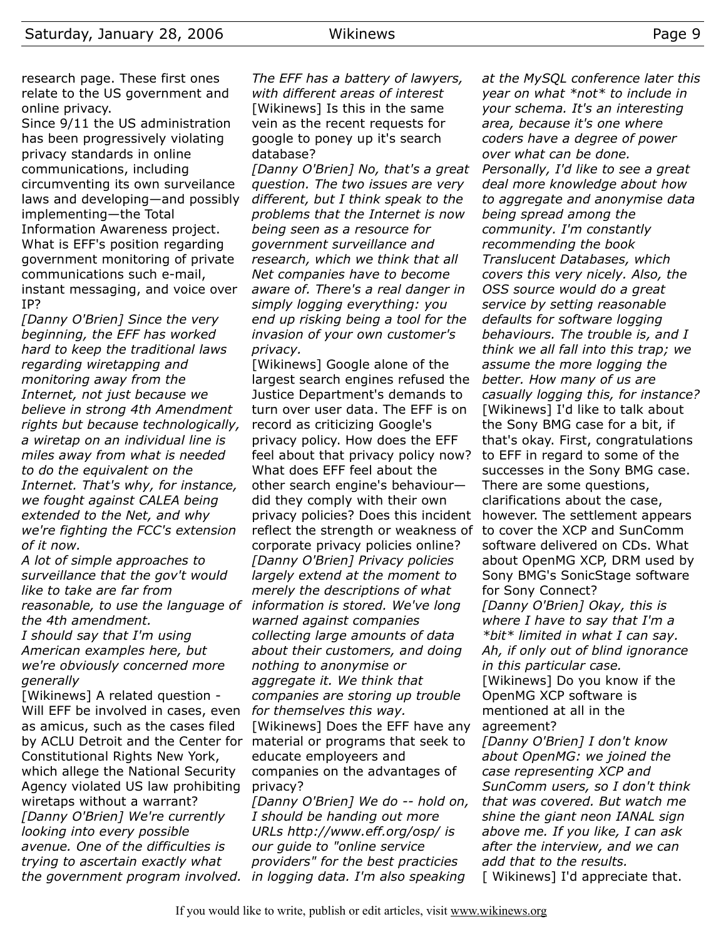research page. These first ones relate to the US government and online privacy.

Since 9/11 the US administration has been progressively violating privacy standards in online communications, including circumventing its own surveilance laws and developing—and possibly implementing—the Total Information Awareness project. What is EFF's position regarding government monitoring of private communications such e-mail, instant messaging, and voice over IP?

*[Danny O'Brien] Since the very beginning, the EFF has worked hard to keep the traditional laws regarding wiretapping and monitoring away from the Internet, not just because we believe in strong 4th Amendment rights but because technologically, a wiretap on an individual line is miles away from what is needed to do the equivalent on the Internet. That's why, for instance, we fought against CALEA being extended to the Net, and why we're fighting the FCC's extension of it now.*

*A lot of simple approaches to surveillance that the gov't would like to take are far from reasonable, to use the language of information is stored. We've long the 4th amendment. I should say that I'm using American examples here, but we're obviously concerned more generally*

[Wikinews] A related question - Will EFF be involved in cases, even as amicus, such as the cases filed by ACLU Detroit and the Center for material or programs that seek to Constitutional Rights New York, which allege the National Security Agency violated US law prohibiting wiretaps without a warrant? *[Danny O'Brien] We're currently looking into every possible avenue. One of the difficulties is trying to ascertain exactly what the government program involved.*

*The EFF has a battery of lawyers, with different areas of interest* [Wikinews] Is this in the same vein as the recent requests for google to poney up it's search database?

*[Danny O'Brien] No, that's a great question. The two issues are very different, but I think speak to the problems that the Internet is now being seen as a resource for government surveillance and research, which we think that all Net companies have to become aware of. There's a real danger in simply logging everything: you end up risking being a tool for the invasion of your own customer's privacy.*

[Wikinews] Google alone of the largest search engines refused the Justice Department's demands to turn over user data. The EFF is on record as criticizing Google's privacy policy. How does the EFF feel about that privacy policy now? What does EFF feel about the other search engine's behaviour did they comply with their own privacy policies? Does this incident reflect the strength or weakness of corporate privacy policies online? *[Danny O'Brien] Privacy policies largely extend at the moment to merely the descriptions of what warned against companies collecting large amounts of data about their customers, and doing nothing to anonymise or aggregate it. We think that companies are storing up trouble for themselves this way.* [Wikinews] Does the EFF have any educate employeers and companies on the advantages of privacy?

*[Danny O'Brien] We do -- hold on, I should be handing out more URLs http://www.eff.org/osp/ is our guide to "online service providers" for the best practicies in logging data. I'm also speaking*

*at the MySQL conference later this year on what \*not\* to include in your schema. It's an interesting area, because it's one where coders have a degree of power over what can be done. Personally, I'd like to see a great deal more knowledge about how to aggregate and anonymise data being spread among the community. I'm constantly recommending the book Translucent Databases, which covers this very nicely. Also, the OSS source would do a great service by setting reasonable defaults for software logging behaviours. The trouble is, and I think we all fall into this trap; we assume the more logging the better. How many of us are casually logging this, for instance?* [Wikinews] I'd like to talk about the Sony BMG case for a bit, if that's okay. First, congratulations to EFF in regard to some of the successes in the Sony BMG case. There are some questions, clarifications about the case, however. The settlement appears to cover the XCP and SunComm software delivered on CDs. What about OpenMG XCP, DRM used by Sony BMG's SonicStage software for Sony Connect? *[Danny O'Brien] Okay, this is where I have to say that I'm a \*bit\* limited in what I can say. Ah, if only out of blind ignorance in this particular case.* [Wikinews] Do you know if the OpenMG XCP software is mentioned at all in the agreement? *[Danny O'Brien] I don't know*

*about OpenMG: we joined the case representing XCP and SunComm users, so I don't think that was covered. But watch me shine the giant neon IANAL sign above me. If you like, I can ask after the interview, and we can add that to the results.* [ Wikinews] I'd appreciate that.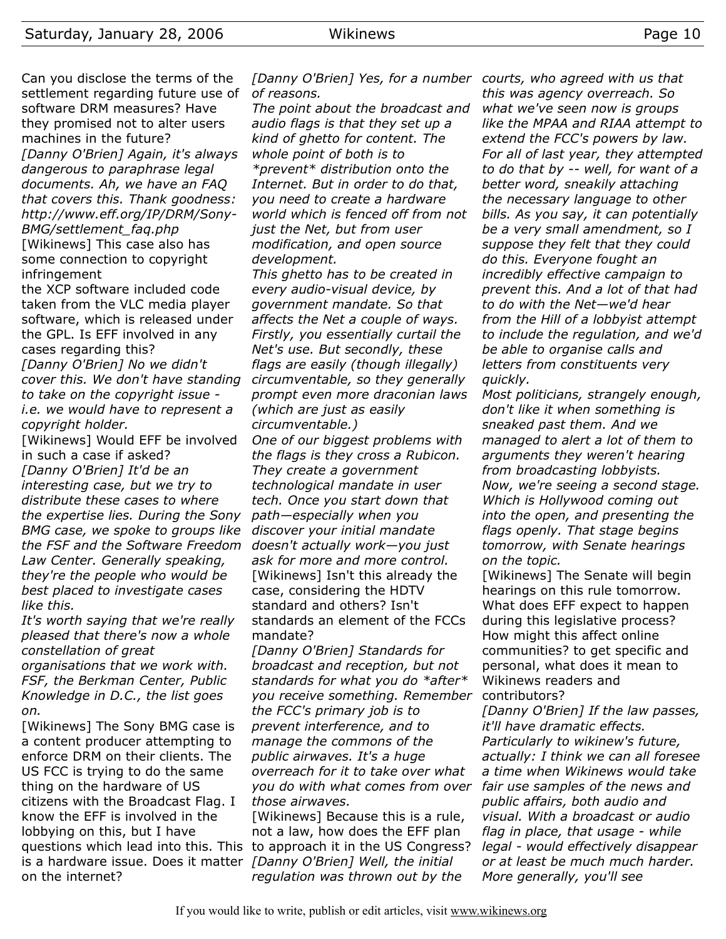Can you disclose the terms of the settlement regarding future use of *of reasons.* software DRM measures? Have they promised not to alter users machines in the future? *[Danny O'Brien] Again, it's always dangerous to paraphrase legal documents. Ah, we have an FAQ that covers this. Thank goodness: http://www.eff.org/IP/DRM/Sony-BMG/settlement\_faq.php* [Wikinews] This case also has

some connection to copyright infringement

the XCP software included code taken from the VLC media player software, which is released under the GPL. Is EFF involved in any cases regarding this?

*[Danny O'Brien] No we didn't cover this. We don't have standing to take on the copyright issue i.e. we would have to represent a copyright holder.*

[Wikinews] Would EFF be involved in such a case if asked? *[Danny O'Brien] It'd be an interesting case, but we try to distribute these cases to where the expertise lies. During the Sony BMG case, we spoke to groups like the FSF and the Software Freedom Law Center. Generally speaking, they're the people who would be best placed to investigate cases like this.*

*It's worth saying that we're really pleased that there's now a whole constellation of great*

*organisations that we work with. FSF, the Berkman Center, Public Knowledge in D.C., the list goes on.*

[Wikinews] The Sony BMG case is a content producer attempting to enforce DRM on their clients. The US FCC is trying to do the same thing on the hardware of US citizens with the Broadcast Flag. I know the EFF is involved in the lobbying on this, but I have questions which lead into this. This to approach it in the US Congress? is a hardware issue. Does it matter *[Danny O'Brien] Well, the initial* on the internet?

*[Danny O'Brien] Yes, for a number courts, who agreed with us that*

*The point about the broadcast and audio flags is that they set up a kind of ghetto for content. The whole point of both is to \*prevent\* distribution onto the Internet. But in order to do that, you need to create a hardware world which is fenced off from not just the Net, but from user modification, and open source development.*

*This ghetto has to be created in every audio-visual device, by government mandate. So that affects the Net a couple of ways. Firstly, you essentially curtail the Net's use. But secondly, these flags are easily (though illegally) circumventable, so they generally prompt even more draconian laws (which are just as easily circumventable.)*

*One of our biggest problems with the flags is they cross a Rubicon. They create a government technological mandate in user tech. Once you start down that path—especially when you discover your initial mandate doesn't actually work—you just ask for more and more control.* [Wikinews] Isn't this already the case, considering the HDTV standard and others? Isn't standards an element of the FCCs mandate?

*[Danny O'Brien] Standards for broadcast and reception, but not standards for what you do \*after\* you receive something. Remember the FCC's primary job is to prevent interference, and to manage the commons of the public airwaves. It's a huge overreach for it to take over what you do with what comes from over those airwaves.*

[Wikinews] Because this is a rule, not a law, how does the EFF plan *regulation was thrown out by the*

*this was agency overreach. So what we've seen now is groups like the MPAA and RIAA attempt to extend the FCC's powers by law. For all of last year, they attempted to do that by -- well, for want of a better word, sneakily attaching the necessary language to other bills. As you say, it can potentially be a very small amendment, so I suppose they felt that they could do this. Everyone fought an incredibly effective campaign to prevent this. And a lot of that had to do with the Net—we'd hear from the Hill of a lobbyist attempt to include the regulation, and we'd be able to organise calls and letters from constituents very quickly.*

*Most politicians, strangely enough, don't like it when something is sneaked past them. And we managed to alert a lot of them to arguments they weren't hearing from broadcasting lobbyists. Now, we're seeing a second stage. Which is Hollywood coming out into the open, and presenting the flags openly. That stage begins tomorrow, with Senate hearings on the topic.*

[Wikinews] The Senate will begin hearings on this rule tomorrow. What does EFF expect to happen during this legislative process? How might this affect online communities? to get specific and personal, what does it mean to Wikinews readers and contributors?

*[Danny O'Brien] If the law passes, it'll have dramatic effects. Particularly to wikinew's future, actually: I think we can all foresee a time when Wikinews would take fair use samples of the news and public affairs, both audio and visual. With a broadcast or audio flag in place, that usage - while legal - would effectively disappear or at least be much much harder. More generally, you'll see*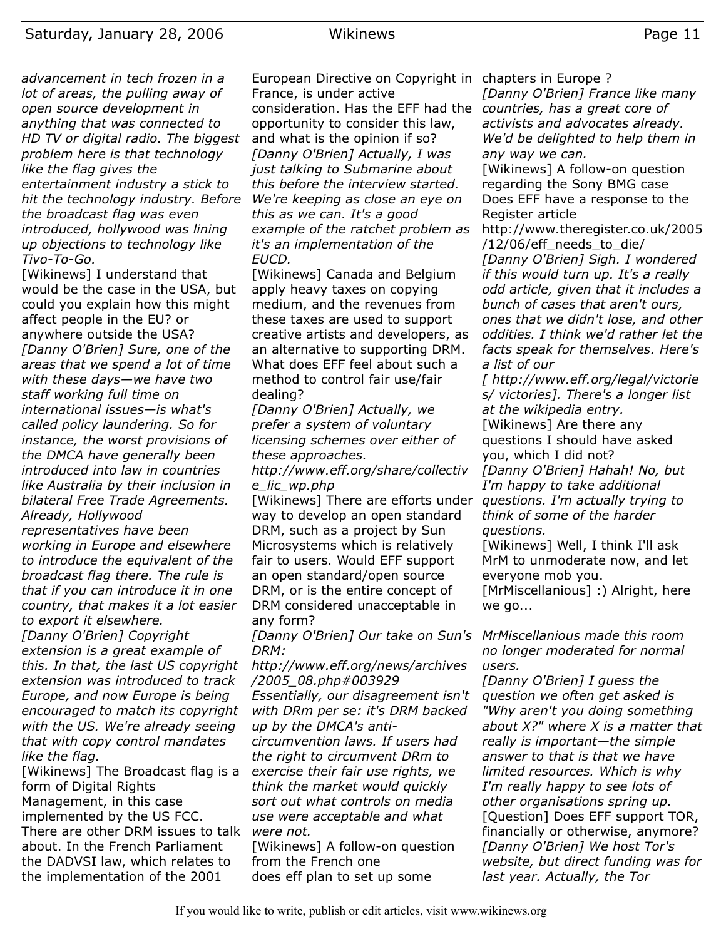*advancement in tech frozen in a lot of areas, the pulling away of open source development in anything that was connected to HD TV or digital radio. The biggest problem here is that technology like the flag gives the entertainment industry a stick to hit the technology industry. Before the broadcast flag was even introduced, hollywood was lining up objections to technology like Tivo-To-Go.*

[Wikinews] I understand that would be the case in the USA, but could you explain how this might affect people in the EU? or anywhere outside the USA? *[Danny O'Brien] Sure, one of the areas that we spend a lot of time with these days—we have two staff working full time on international issues—is what's called policy laundering. So for instance, the worst provisions of the DMCA have generally been introduced into law in countries like Australia by their inclusion in bilateral Free Trade Agreements. Already, Hollywood representatives have been working in Europe and elsewhere to introduce the equivalent of the broadcast flag there. The rule is that if you can introduce it in one country, that makes it a lot easier to export it elsewhere. [Danny O'Brien] Copyright extension is a great example of this. In that, the last US copyright extension was introduced to track Europe, and now Europe is being encouraged to match its copyright with the US. We're already seeing that with copy control mandates like the flag.*

[Wikinews] The Broadcast flag is a *exercise their fair use rights, we* form of Digital Rights Management, in this case implemented by the US FCC. There are other DRM issues to talk *were not.* about. In the French Parliament the DADVSI law, which relates to the implementation of the 2001

European Directive on Copyright in chapters in Europe ? France, is under active consideration. Has the EFF had the *countries, has a great core of* opportunity to consider this law, and what is the opinion if so? *[Danny O'Brien] Actually, I was just talking to Submarine about this before the interview started. We're keeping as close an eye on this as we can. It's a good example of the ratchet problem as it's an implementation of the EUCD.*

[Wikinews] Canada and Belgium apply heavy taxes on copying medium, and the revenues from these taxes are used to support creative artists and developers, as an alternative to supporting DRM. What does EFF feel about such a method to control fair use/fair dealing?

*[Danny O'Brien] Actually, we prefer a system of voluntary licensing schemes over either of these approaches.*

*http://www.eff.org/share/collectiv e\_lic\_wp.php*

[Wikinews] There are efforts under way to develop an open standard DRM, such as a project by Sun Microsystems which is relatively fair to users. Would EFF support an open standard/open source DRM, or is the entire concept of DRM considered unacceptable in any form?

*[Danny O'Brien] Our take on Sun's DRM:*

*http://www.eff.org/news/archives /2005\_08.php#003929*

*Essentially, our disagreement isn't with DRm per se: it's DRM backed up by the DMCA's anti-*

*circumvention laws. If users had the right to circumvent DRm to think the market would quickly sort out what controls on media use were acceptable and what*

[Wikinews] A follow-on question from the French one does eff plan to set up some

*[Danny O'Brien] France like many activists and advocates already. We'd be delighted to help them in any way we can.*

[Wikinews] A follow-on question regarding the Sony BMG case Does EFF have a response to the Register article

http://www.theregister.co.uk/2005 /12/06/eff\_needs\_to\_die/ *[Danny O'Brien] Sigh. I wondered*

*if this would turn up. It's a really odd article, given that it includes a bunch of cases that aren't ours, ones that we didn't lose, and other oddities. I think we'd rather let the facts speak for themselves. Here's a list of our*

*[ http://www.eff.org/legal/victorie s/ victories]. There's a longer list at the wikipedia entry.*

[Wikinews] Are there any questions I should have asked you, which I did not? *[Danny O'Brien] Hahah! No, but I'm happy to take additional questions. I'm actually trying to think of some of the harder questions.*

[Wikinews] Well, I think I'll ask MrM to unmoderate now, and let everyone mob you.

[MrMiscellanious] :) Alright, here we go...

*MrMiscellanious made this room no longer moderated for normal users.*

*[Danny O'Brien] I guess the question we often get asked is "Why aren't you doing something about X?" where X is a matter that really is important—the simple answer to that is that we have limited resources. Which is why I'm really happy to see lots of other organisations spring up.* [Question] Does EFF support TOR, financially or otherwise, anymore? *[Danny O'Brien] We host Tor's website, but direct funding was for last year. Actually, the Tor*

If you would like to write, publish or edit articles, visit [www.wikinews.org](http://www.wikinews.org/)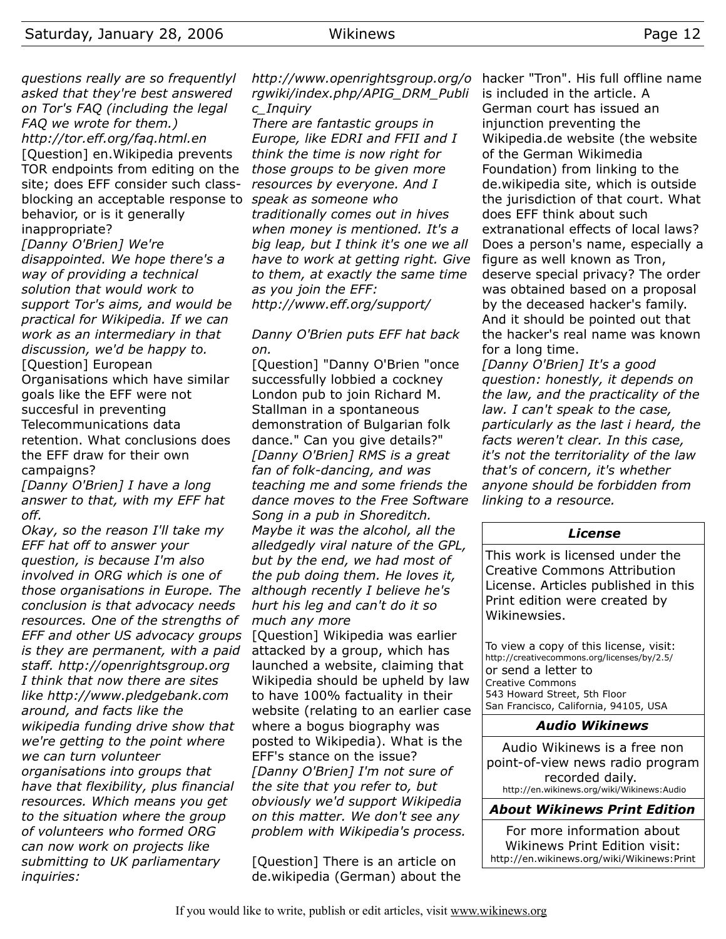*questions really are so frequentlyl asked that they're best answered*

*on Tor's FAQ (including the legal FAQ we wrote for them.) http://tor.eff.org/faq.html.en* [Question] en.Wikipedia prevents TOR endpoints from editing on the site; does EFF consider such classblocking an acceptable response to *speak as someone who* behavior, or is it generally inappropriate? *[Danny O'Brien] We're disappointed. We hope there's a way of providing a technical solution that would work to support Tor's aims, and would be practical for Wikipedia. If we can work as an intermediary in that discussion, we'd be happy to.* [Question] European Organisations which have similar goals like the EFF were not succesful in preventing

Telecommunications data retention. What conclusions does the EFF draw for their own campaigns?

*[Danny O'Brien] I have a long answer to that, with my EFF hat off.*

*Okay, so the reason I'll take my EFF hat off to answer your question, is because I'm also involved in ORG which is one of those organisations in Europe. The conclusion is that advocacy needs resources. One of the strengths of EFF and other US advocacy groups is they are permanent, with a paid staff. http://openrightsgroup.org I think that now there are sites like http://www.pledgebank.com around, and facts like the wikipedia funding drive show that we're getting to the point where we can turn volunteer organisations into groups that have that flexibility, plus financial resources. Which means you get to the situation where the group of volunteers who formed ORG can now work on projects like submitting to UK parliamentary inquiries:*

*http://www.openrightsgroup.org/o rgwiki/index.php/APIG\_DRM\_Publi c\_Inquiry*

*There are fantastic groups in Europe, like EDRI and FFII and I think the time is now right for those groups to be given more resources by everyone. And I traditionally comes out in hives when money is mentioned. It's a big leap, but I think it's one we all have to work at getting right. Give to them, at exactly the same time as you join the EFF: http://www.eff.org/support/*

# *Danny O'Brien puts EFF hat back on.*

[Question] "Danny O'Brien "once successfully lobbied a cockney London pub to join Richard M. Stallman in a spontaneous demonstration of Bulgarian folk dance." Can you give details?" *[Danny O'Brien] RMS is a great fan of folk-dancing, and was teaching me and some friends the dance moves to the Free Software Song in a pub in Shoreditch. Maybe it was the alcohol, all the alledgedly viral nature of the GPL, but by the end, we had most of the pub doing them. He loves it, although recently I believe he's hurt his leg and can't do it so much any more* [Question] Wikipedia was earlier attacked by a group, which has launched a website, claiming that Wikipedia should be upheld by law to have 100% factuality in their website (relating to an earlier case where a bogus biography was posted to Wikipedia). What is the EFF's stance on the issue? *[Danny O'Brien] I'm not sure of the site that you refer to, but obviously we'd support Wikipedia on this matter. We don't see any problem with Wikipedia's process.*

[Question] There is an article on de.wikipedia (German) about the hacker "Tron". His full offline name is included in the article. A German court has issued an injunction preventing the Wikipedia.de website (the website of the German Wikimedia Foundation) from linking to the de.wikipedia site, which is outside the jurisdiction of that court. What does EFF think about such extranational effects of local laws? Does a person's name, especially a figure as well known as Tron, deserve special privacy? The order was obtained based on a proposal by the deceased hacker's family. And it should be pointed out that the hacker's real name was known for a long time.

*[Danny O'Brien] It's a good question: honestly, it depends on the law, and the practicality of the law. I can't speak to the case, particularly as the last i heard, the facts weren't clear. In this case, it's not the territoriality of the law that's of concern, it's whether anyone should be forbidden from linking to a resource.*

#### *License*

This work is licensed under the Creative Commons Attribution License. Articles published in this Print edition were created by Wikinewsies.

To view a copy of this license, visit: http://creativecommons.org/licenses/by/2.5/ or send a letter to Creative Commons 543 Howard Street, 5th Floor San Francisco, California, 94105, USA

#### *Audio Wikinews*

Audio Wikinews is a free non point-of-view news radio program recorded daily. http://en.wikinews.org/wiki/Wikinews:Audio

# *About Wikinews Print Edition*

For more information about Wikinews Print Edition visit: http://en.wikinews.org/wiki/Wikinews:Print